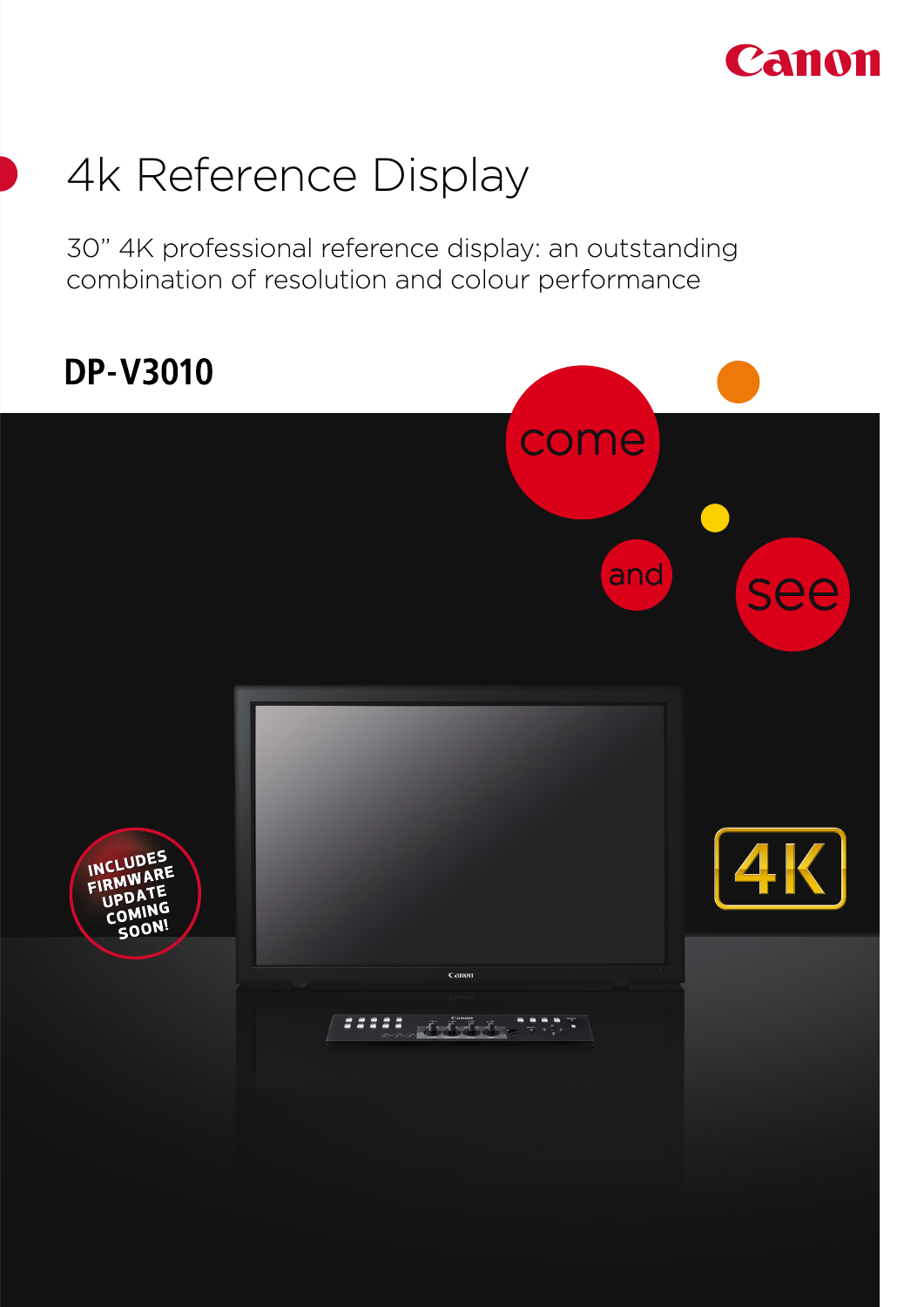

# 4k Reference Display

30" 4K professional reference display: an outstanding combination of resolution and colour performance

# **DP-V3010** come and see INCLUDES FIRMWARE ١G r∩۱ 00ء .<br>Ca ,,,,, ng ngun aliyladan.<br>Tarihi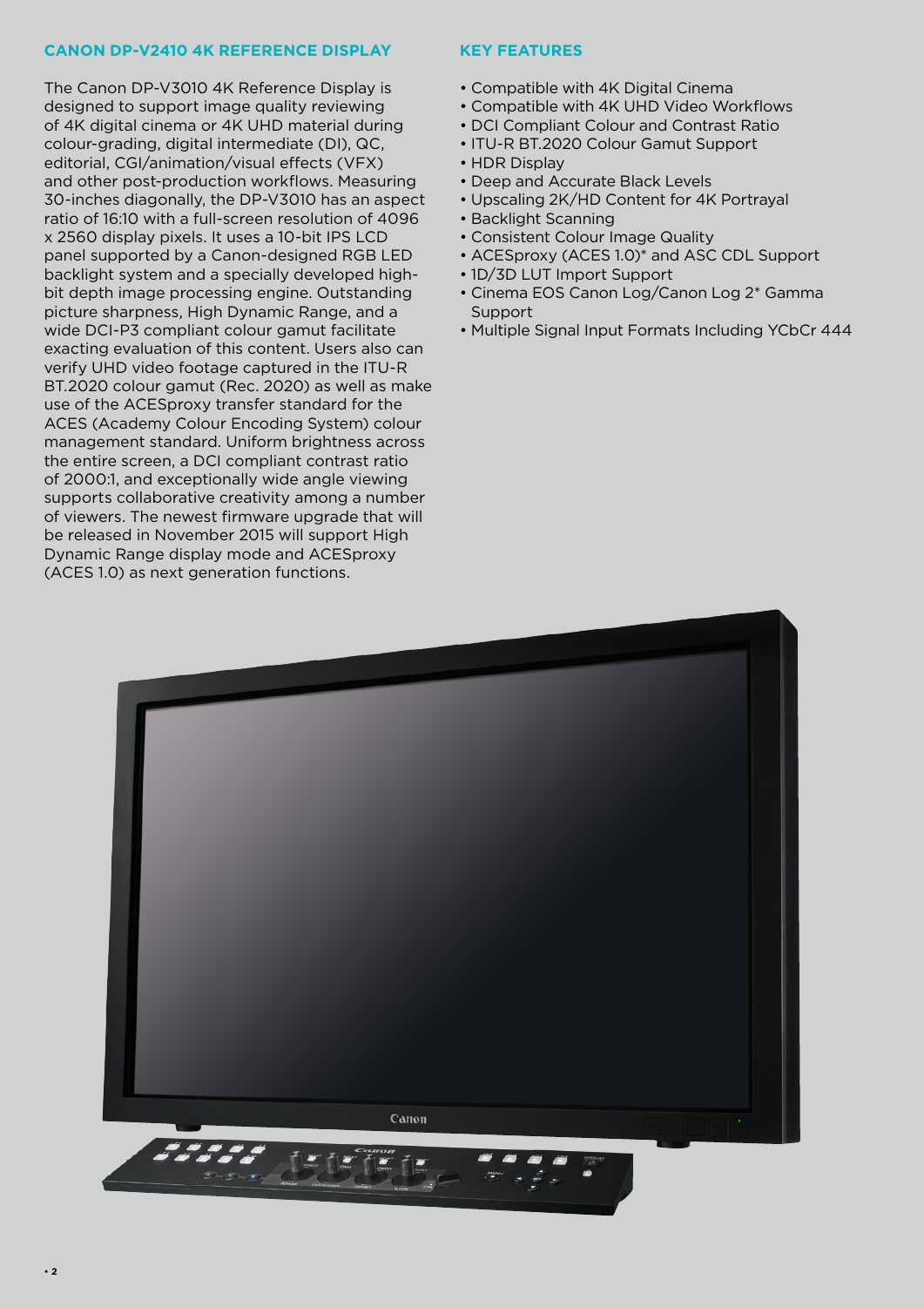### **CANON DP-V2410 4K REFERENCE DISPLAY**

The Canon DP-V3010 4K Reference Display is designed to support image quality reviewing of 4K digital cinema or 4K UHD material during colour-grading, digital intermediate (DI), QC, editorial, CGI/animation/visual effects (VFX) and other post-production workflows. Measuring 30-inches diagonally, the DP-V3010 has an aspect ratio of 16:10 with a full-screen resolution of 4096 x 2560 display pixels. It uses a 10-bit IPS LCD panel supported by a Canon-designed RGB LED backlight system and a specially developed highbit depth image processing engine. Outstanding picture sharpness, High Dynamic Range, and a wide DCI-P3 compliant colour gamut facilitate exacting evaluation of this content. Users also can verify UHD video footage captured in the ITU-R BT.2020 colour gamut (Rec. 2020) as well as make use of the ACESproxy transfer standard for the ACES (Academy Colour Encoding System) colour management standard. Uniform brightness across the entire screen, a DCI compliant contrast ratio of 2000:1, and exceptionally wide angle viewing supports collaborative creativity among a number of viewers. The newest firmware upgrade that will be released in November 2015 will support High Dynamic Range display mode and ACESproxy (ACES 1.0) as next generation functions.

### **KEY FEATURES**

- Compatible with 4K Digital Cinema
- Compatible with 4K UHD Video Workflows
- DCI Compliant Colour and Contrast Ratio
- ITU-R BT.2020 Colour Gamut Support
- HDR Display
- Deep and Accurate Black Levels
- Upscaling 2K/HD Content for 4K Portrayal
- Backlight Scanning
- Consistent Colour Image Quality
- ACESproxy (ACES 1.0)\* and ASC CDL Support
- 1D/3D LUT Import Support
- Cinema EOS Canon Log/Canon Log 2\* Gamma Support
- Multiple Signal Input Formats Including YCbCr 444

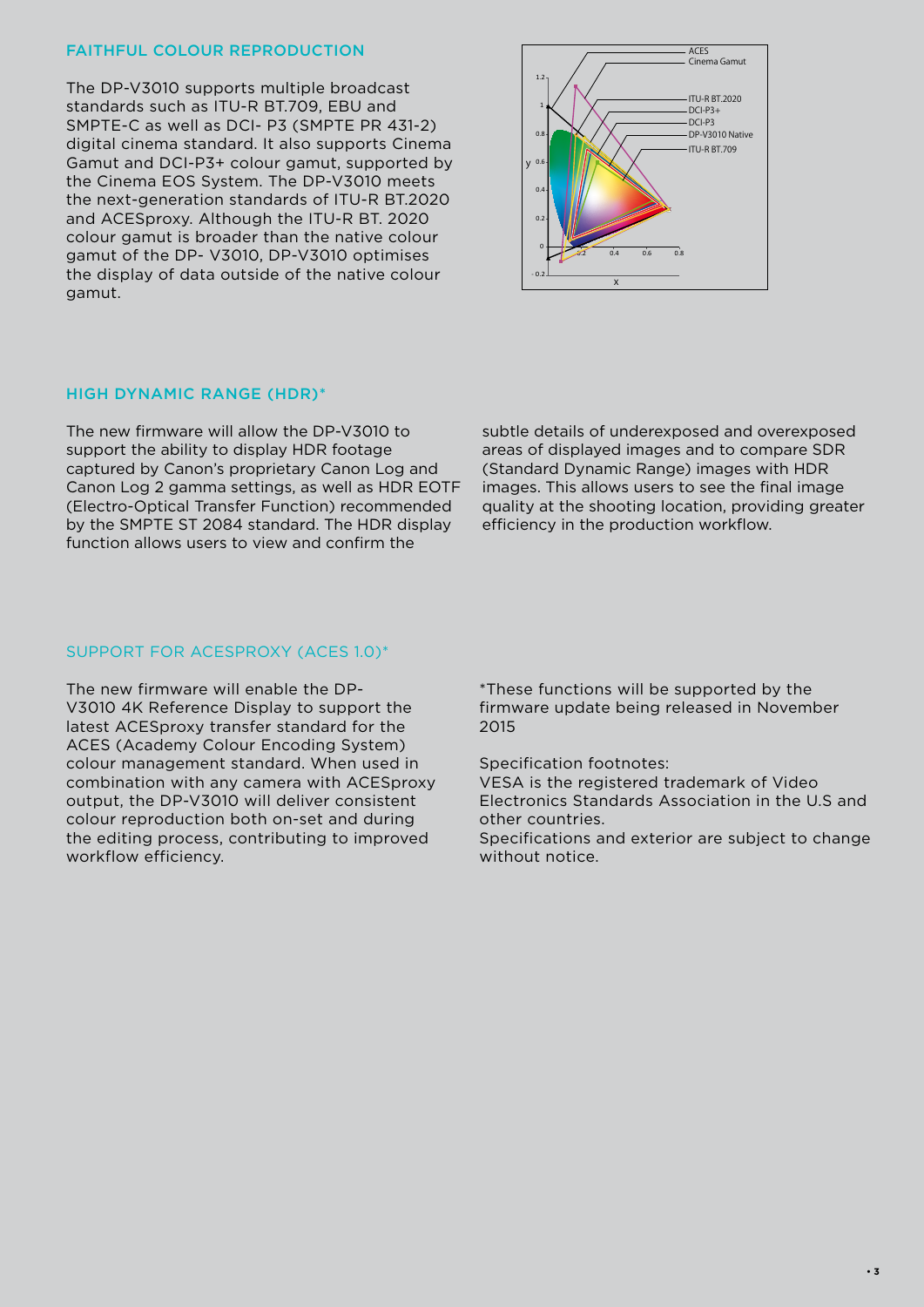#### FAITHFUL COLOUR REPRODUCTION

The DP-V3010 supports multiple broadcast standards such as ITU-R BT.709, EBU and SMPTE-C as well as DCI- P3 (SMPTE PR 431-2) digital cinema standard. It also supports Cinema Gamut and DCI-P3+ colour gamut, supported by the Cinema EOS System. The DP-V3010 meets the next-generation standards of ITU-R BT.2020 and ACESproxy. Although the ITU-R BT. 2020 colour gamut is broader than the native colour gamut of the DP- V3010, DP-V3010 optimises the display of data outside of the native colour gamut.



#### HIGH DYNAMIC RANGE (HDR)\*

The new firmware will allow the DP-V3010 to support the ability to display HDR footage captured by Canon's proprietary Canon Log and Canon Log 2 gamma settings, as well as HDR EOTF (Electro-Optical Transfer Function) recommended by the SMPTE ST 2084 standard. The HDR display function allows users to view and confirm the

subtle details of underexposed and overexposed areas of displayed images and to compare SDR (Standard Dynamic Range) images with HDR images. This allows users to see the final image quality at the shooting location, providing greater efficiency in the production workflow.

#### SUPPORT FOR ACESPROXY (ACES 1.0)\*

The new firmware will enable the DP-V3010 4K Reference Display to support the latest ACESproxy transfer standard for the ACES (Academy Colour Encoding System) colour management standard. When used in combination with any camera with ACESproxy output, the DP-V3010 will deliver consistent colour reproduction both on-set and during the editing process, contributing to improved workflow efficiency.

\*These functions will be supported by the firmware update being released in November 2015

Specification footnotes:

VESA is the registered trademark of Video Electronics Standards Association in the U.S and other countries.

Specifications and exterior are subject to change without notice.